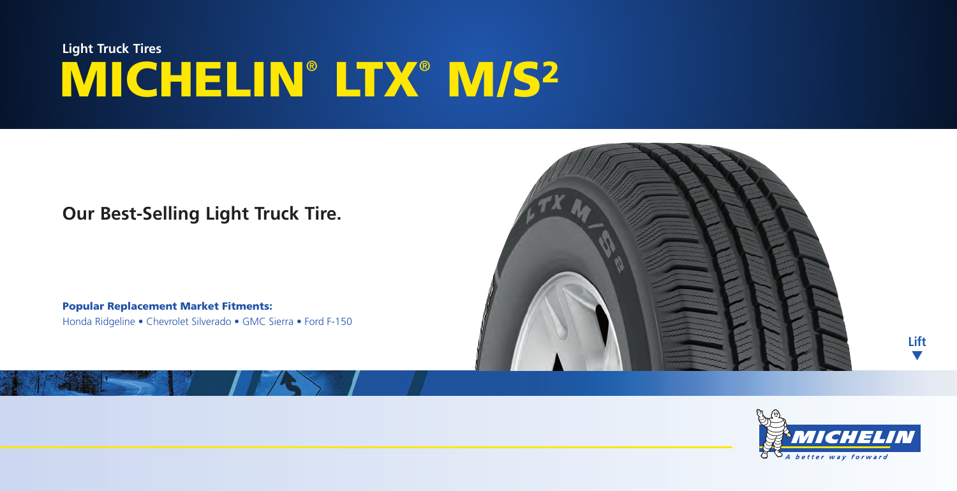# **MICHELIN**®  **LTX**®  **M/S2 Light Truck Tires**

### **Our Best-Selling Light Truck Tire.**

**Popular Replacement Market Fitments:** Honda Ridgeline • Chevrolet Silverado • GMC Sierra • Ford F-150





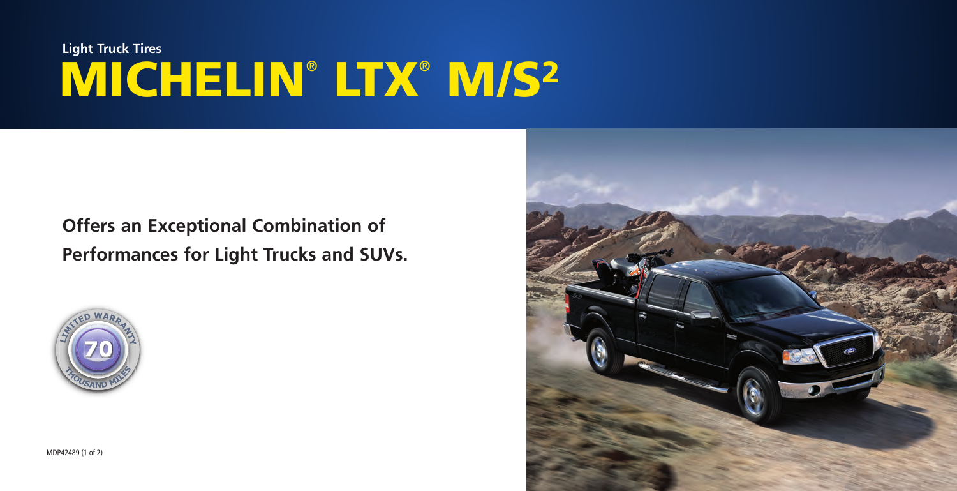## **MICHELIN**®  **LTX**®  **M/S2 Light Truck Tires**

## **Offers an Exceptional Combination of Performances for Light Trucks and SUVs.**



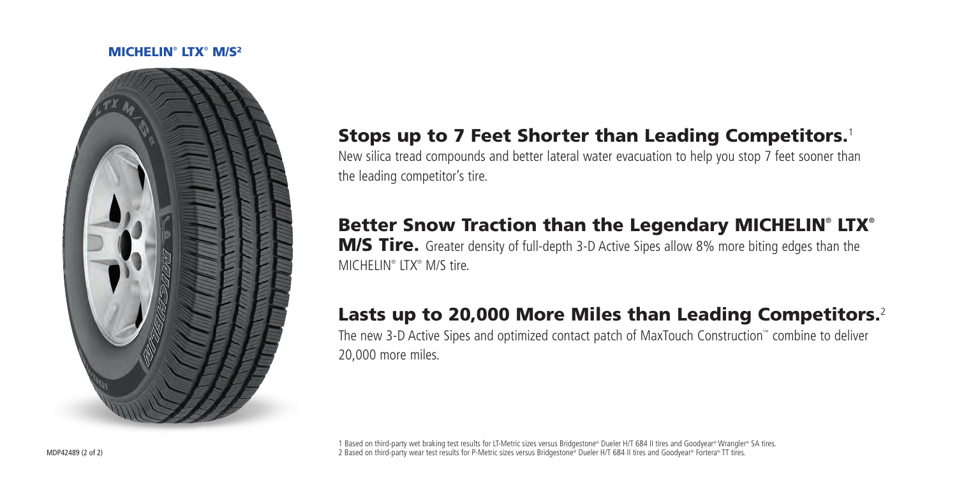#### **MICHELIN**®  **LTX**®  **M/S2**



### **Stops up to 7 Feet Shorter than Leading Competitors.**<sup>1</sup>

New silica tread compounds and better lateral water evacuation to help you stop 7 feet sooner than the leading competitor's tire.

## **Better Snow Traction than the Legendary MICHELIN**®  **LTX**®

**M/S Tire.** Greater density of full-depth 3-D Active Sipes allow 8% more biting edges than the MICHELIN® LTX® M/S tire.

## **Lasts up to 20,000 More Miles than Leading Competitors.**<sup>2</sup>

The new 3-D Active Sipes and optimized contact patch of MaxTouch Construction™ combine to deliver 20,000 more miles.